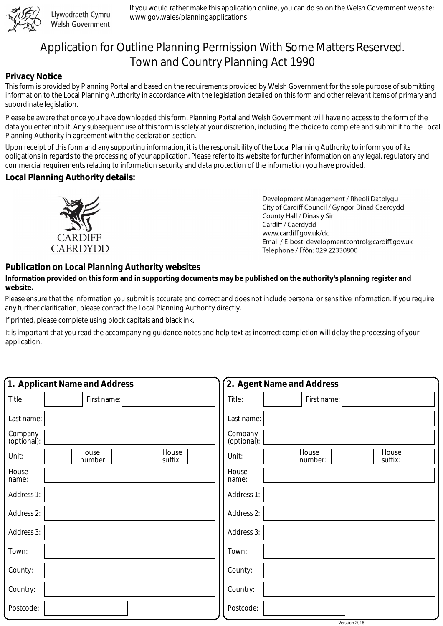

Llywodraeth Cymru Welsh Government

If you would rather make this application online, you can do so on the Welsh Government website: www.gov.wales/planningapplications

# Application for Outline Planning Permission With Some Matters Reserved. Town and Country Planning Act 1990

#### **Privacy Notice**

This form is provided by Planning Portal and based on the requirements provided by Welsh Government for the sole purpose of submitting information to the Local Planning Authority in accordance with the legislation detailed on this form and other relevant items of primary and subordinate legislation.

Please be aware that once you have downloaded this form, Planning Portal and Welsh Government will have no access to the form of the data you enter into it. Any subsequent use of this form is solely at your discretion, including the choice to complete and submit it to the Local Planning Authority in agreement with the declaration section.

Upon receipt of this form and any supporting information, it is the responsibility of the Local Planning Authority to inform you of its obligations in regards to the processing of your application. Please refer to its website for further information on any legal, regulatory and commercial requirements relating to information security and data protection of the information you have provided.

### **Local Planning Authority details:**



Development Management / Rheoli Datblygu City of Cardiff Council / Gyngor Dinad Caerdydd County Hall / Dinas y Sir Cardiff / Caerdydd www.cardiff.gov.uk/dc Email / E-bost: developmentcontrol@cardiff.gov.uk Telephone / Ffôn: 029 22330800

## **Publication on Local Planning Authority websites**

#### **Information provided on this form and in supporting documents may be published on the authority's planning register and website.**

Please ensure that the information you submit is accurate and correct and does not include personal or sensitive information. If you require any further clarification, please contact the Local Planning Authority directly.

If printed, please complete using block capitals and black ink.

It is important that you read the accompanying guidance notes and help text as incorrect completion will delay the processing of your application.

| 1. Applicant Name and Address                 | 2. Agent Name and Address                     |
|-----------------------------------------------|-----------------------------------------------|
| Title:<br>First name:                         | Title:<br>First name:                         |
| Last name:                                    | Last name:                                    |
| Company<br>(optional):                        | Company<br>(optional):                        |
| House<br>House<br>Unit:<br>suffix:<br>number: | House<br>House<br>Unit:<br>suffix:<br>number: |
| House<br>name:                                | House<br>name:                                |
| Address 1:                                    | Address 1:                                    |
| Address 2:                                    | Address 2:                                    |
| Address 3:                                    | Address 3:                                    |
| Town:                                         | Town:                                         |
| County:                                       | County:                                       |
| Country:                                      | Country:                                      |
| Postcode:                                     | Postcode:                                     |

Verssion 2018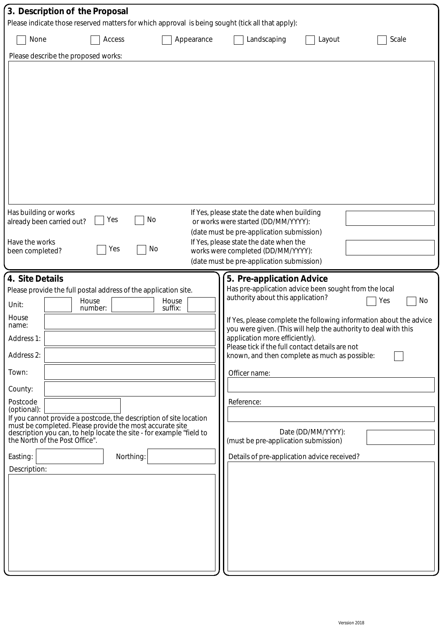| 3. Description of the Proposal                                                                                                                                   |                                                                                                                                                                                                                                                                                                            |                  |                                                                                                                                                                                                                                                                                                                                                                                                                           |                    |                                                                                 |  |  |
|------------------------------------------------------------------------------------------------------------------------------------------------------------------|------------------------------------------------------------------------------------------------------------------------------------------------------------------------------------------------------------------------------------------------------------------------------------------------------------|------------------|---------------------------------------------------------------------------------------------------------------------------------------------------------------------------------------------------------------------------------------------------------------------------------------------------------------------------------------------------------------------------------------------------------------------------|--------------------|---------------------------------------------------------------------------------|--|--|
|                                                                                                                                                                  |                                                                                                                                                                                                                                                                                                            |                  | Please indicate those reserved matters for which approval is being sought (tick all that apply):                                                                                                                                                                                                                                                                                                                          |                    |                                                                                 |  |  |
| None                                                                                                                                                             | Access                                                                                                                                                                                                                                                                                                     | Appearance       | Landscaping                                                                                                                                                                                                                                                                                                                                                                                                               | Layout             | Scale                                                                           |  |  |
| Please describe the proposed works:                                                                                                                              |                                                                                                                                                                                                                                                                                                            |                  |                                                                                                                                                                                                                                                                                                                                                                                                                           |                    |                                                                                 |  |  |
|                                                                                                                                                                  |                                                                                                                                                                                                                                                                                                            |                  |                                                                                                                                                                                                                                                                                                                                                                                                                           |                    |                                                                                 |  |  |
| Has building or works<br>already been carried out?<br>Have the works<br>been completed?                                                                          | Yes<br>Yes                                                                                                                                                                                                                                                                                                 | No<br>No         | If Yes, please state the date when building<br>or works were started (DD/MM/YYYY):<br>(date must be pre-application submission)<br>If Yes, please state the date when the<br>works were completed (DD/MM/YYYY):<br>(date must be pre-application submission)                                                                                                                                                              |                    |                                                                                 |  |  |
| 4. Site Details                                                                                                                                                  |                                                                                                                                                                                                                                                                                                            |                  | 5. Pre-application Advice                                                                                                                                                                                                                                                                                                                                                                                                 |                    |                                                                                 |  |  |
| Unit:<br>House<br>name:<br>Address 1:<br>Address 2:<br>Town:<br>County:<br>Postcode<br>(optional):<br>the North of the Post Office".<br>Easting:<br>Description: | Please provide the full postal address of the application site.<br>House<br>number:<br>If you cannot provide a postcode, the description of site location<br>must be completed. Please provide the most accurate site<br>description you can, to help locate the site - for example "field to<br>Northing: | House<br>suffix: | Has pre-application advice been sought from the local<br>authority about this application?<br>you were given. (This will help the authority to deal with this<br>application more efficiently).<br>Please tick if the full contact details are not<br>known, and then complete as much as possible:<br>Officer name:<br>Reference:<br>(must be pre-application submission)<br>Details of pre-application advice received? | Date (DD/MM/YYYY): | No<br>Yes<br>If Yes, please complete the following information about the advice |  |  |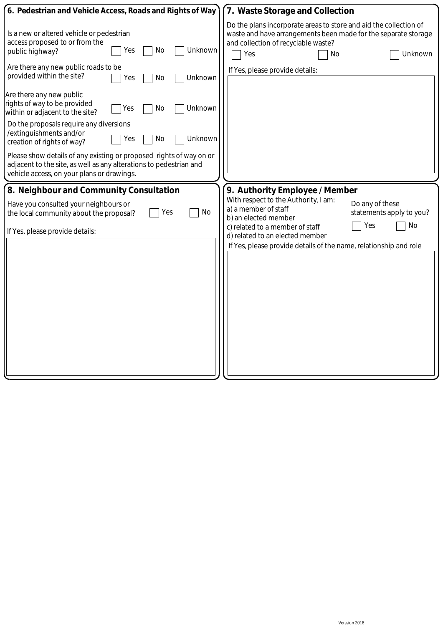| 6. Pedestrian and Vehicle Access, Roads and Rights of Way                                                                                                                               | 7. Waste Storage and Collection                                                                                                                                                                    |
|-----------------------------------------------------------------------------------------------------------------------------------------------------------------------------------------|----------------------------------------------------------------------------------------------------------------------------------------------------------------------------------------------------|
| Is a new or altered vehicle or pedestrian<br>access proposed to or from the<br>No<br>Unknown<br>Yes<br>public highway?                                                                  | Do the plans incorporate areas to store and aid the collection of<br>waste and have arrangements been made for the separate storage<br>and collection of recyclable waste?<br>Yes<br>Unknown<br>No |
| Are there any new public roads to be<br>provided within the site?<br>Unknown<br>No<br>Yes                                                                                               | If Yes, please provide details:                                                                                                                                                                    |
| Are there any new public<br>rights of way to be provided<br>Unknown<br>No<br>Yes<br>within or adjacent to the site?                                                                     |                                                                                                                                                                                                    |
| Do the proposals require any diversions<br>/extinguishments and/or<br>No<br>Unknown<br>Yes<br>creation of rights of way?                                                                |                                                                                                                                                                                                    |
| Please show details of any existing or proposed rights of way on or<br>adjacent to the site, as well as any alterations to pedestrian and<br>vehicle access, on your plans or drawings. |                                                                                                                                                                                                    |
| 8. Neighbour and Community Consultation                                                                                                                                                 | 9. Authority Employee / Member                                                                                                                                                                     |
| Have you consulted your neighbours or<br>No<br>Yes<br>the local community about the proposal?                                                                                           | With respect to the Authority, I am:<br>Do any of these<br>a) a member of staff<br>statements apply to you?<br>b) an elected member                                                                |
| If Yes, please provide details:                                                                                                                                                         | No<br>Yes<br>c) related to a member of staff<br>d) related to an elected member<br>If Yes, please provide details of the name, relationship and role                                               |
|                                                                                                                                                                                         |                                                                                                                                                                                                    |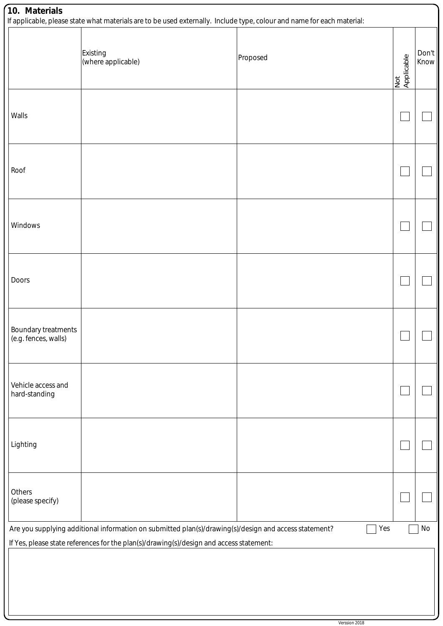| 10. Materials                                                                                                                                                                                                 | If applicable, please state what materials are to be used externally. Include type, colour and name for each material: |          |                   |               |  |  |
|---------------------------------------------------------------------------------------------------------------------------------------------------------------------------------------------------------------|------------------------------------------------------------------------------------------------------------------------|----------|-------------------|---------------|--|--|
|                                                                                                                                                                                                               | Existing<br>(where applicable)                                                                                         | Proposed | Not<br>Applicable | Don't<br>Know |  |  |
| Walls                                                                                                                                                                                                         |                                                                                                                        |          |                   |               |  |  |
| Roof                                                                                                                                                                                                          |                                                                                                                        |          |                   |               |  |  |
| Windows                                                                                                                                                                                                       |                                                                                                                        |          |                   |               |  |  |
| Doors                                                                                                                                                                                                         |                                                                                                                        |          |                   |               |  |  |
| Boundary treatments<br>(e.g. fences, walls)                                                                                                                                                                   |                                                                                                                        |          |                   |               |  |  |
| Vehicle access and<br>hard-standing                                                                                                                                                                           |                                                                                                                        |          |                   |               |  |  |
| Lighting                                                                                                                                                                                                      |                                                                                                                        |          |                   |               |  |  |
| Others<br>(please specify)                                                                                                                                                                                    |                                                                                                                        |          |                   |               |  |  |
| Yes<br>Are you supplying additional information on submitted plan(s)/drawing(s)/design and access statement?<br>No<br>If Yes, please state references for the plan(s)/drawing(s)/design and access statement: |                                                                                                                        |          |                   |               |  |  |
|                                                                                                                                                                                                               |                                                                                                                        |          |                   |               |  |  |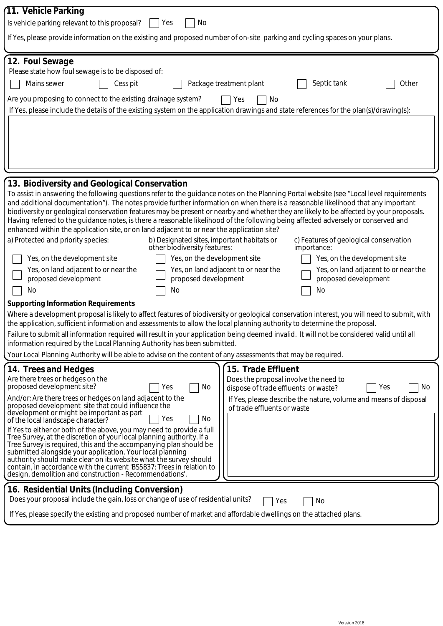| 11. Vehicle Parking                                                                                                                                                                                                                                                                                                                                                                                                                                                                                                                                                                                                                                                                                                                                                                                                                                                                                                                                                                                                                                                                                                                                                                                                                                                                                                                                                                                                                                                                                                                   |                                                                                                                                                                                                                     |  |  |  |  |
|---------------------------------------------------------------------------------------------------------------------------------------------------------------------------------------------------------------------------------------------------------------------------------------------------------------------------------------------------------------------------------------------------------------------------------------------------------------------------------------------------------------------------------------------------------------------------------------------------------------------------------------------------------------------------------------------------------------------------------------------------------------------------------------------------------------------------------------------------------------------------------------------------------------------------------------------------------------------------------------------------------------------------------------------------------------------------------------------------------------------------------------------------------------------------------------------------------------------------------------------------------------------------------------------------------------------------------------------------------------------------------------------------------------------------------------------------------------------------------------------------------------------------------------|---------------------------------------------------------------------------------------------------------------------------------------------------------------------------------------------------------------------|--|--|--|--|
| No<br>Is vehicle parking relevant to this proposal?<br>Yes                                                                                                                                                                                                                                                                                                                                                                                                                                                                                                                                                                                                                                                                                                                                                                                                                                                                                                                                                                                                                                                                                                                                                                                                                                                                                                                                                                                                                                                                            |                                                                                                                                                                                                                     |  |  |  |  |
| If Yes, please provide information on the existing and proposed number of on-site parking and cycling spaces on your plans.                                                                                                                                                                                                                                                                                                                                                                                                                                                                                                                                                                                                                                                                                                                                                                                                                                                                                                                                                                                                                                                                                                                                                                                                                                                                                                                                                                                                           |                                                                                                                                                                                                                     |  |  |  |  |
| 12. Foul Sewage<br>Please state how foul sewage is to be disposed of:<br>Mains sewer<br>Septic tank<br>Other<br>Cess pit<br>Package treatment plant<br>Are you proposing to connect to the existing drainage system?<br>Yes<br>No<br>If Yes, please include the details of the existing system on the application drawings and state references for the plan(s)/drawing(s):                                                                                                                                                                                                                                                                                                                                                                                                                                                                                                                                                                                                                                                                                                                                                                                                                                                                                                                                                                                                                                                                                                                                                           |                                                                                                                                                                                                                     |  |  |  |  |
|                                                                                                                                                                                                                                                                                                                                                                                                                                                                                                                                                                                                                                                                                                                                                                                                                                                                                                                                                                                                                                                                                                                                                                                                                                                                                                                                                                                                                                                                                                                                       |                                                                                                                                                                                                                     |  |  |  |  |
| 13. Biodiversity and Geological Conservation<br>To assist in answering the following questions refer to the guidance notes on the Planning Portal website (see "Local level requirements<br>and additional documentation"). The notes provide further information on when there is a reasonable likelihood that any important<br>biodiversity or geological conservation features may be present or nearby and whether they are likely to be affected by your proposals.<br>Having referred to the guidance notes, is there a reasonable likelihood of the following being affected adversely or conserved and<br>enhanced within the application site, or on land adjacent to or near the application site?<br>a) Protected and priority species:<br>b) Designated sites, important habitats or<br>c) Features of geological conservation<br>other biodiversity features:<br>importance:<br>Yes, on the development site<br>Yes, on the development site<br>Yes, on the development site<br>Yes, on land adjacent to or near the<br>Yes, on land adjacent to or near the<br>Yes, on land adjacent to or near the<br>proposed development<br>proposed development<br>proposed development<br>No<br>No<br>No<br><b>Supporting Information Requirements</b><br>Where a development proposal is likely to affect features of biodiversity or geological conservation interest, you will need to submit, with<br>the application, sufficient information and assessments to allow the local planning authority to determine the proposal. |                                                                                                                                                                                                                     |  |  |  |  |
| Failure to submit all information required will result in your application being deemed invalid. It will not be considered valid until all<br>information required by the Local Planning Authority has been submitted.                                                                                                                                                                                                                                                                                                                                                                                                                                                                                                                                                                                                                                                                                                                                                                                                                                                                                                                                                                                                                                                                                                                                                                                                                                                                                                                |                                                                                                                                                                                                                     |  |  |  |  |
| Your Local Planning Authority will be able to advise on the content of any assessments that may be required.                                                                                                                                                                                                                                                                                                                                                                                                                                                                                                                                                                                                                                                                                                                                                                                                                                                                                                                                                                                                                                                                                                                                                                                                                                                                                                                                                                                                                          |                                                                                                                                                                                                                     |  |  |  |  |
| 14. Trees and Hedges<br>Are there trees or hedges on the<br>proposed development site?<br>No<br>Yes<br>And/or: Are there trees or hedges on land adjacent to the<br>proposed development site that could influence the<br>development or might be important as part<br>Yes<br>No<br>of the local landscape character?<br>If Yes to either or both of the above, you may need to provide a full<br>Tree Survey, at the discretion of your local planning authority. If a<br>Tree Survey is required, this and the accompanying plan should be<br>submitted alongside your application. Your local planning<br>authority should make clear on its website what the survey should<br>contain, in accordance with the current 'BS5837: Trees in relation to<br>design, demolition and construction - Recommendations'.                                                                                                                                                                                                                                                                                                                                                                                                                                                                                                                                                                                                                                                                                                                    | 15. Trade Effluent<br>Does the proposal involve the need to<br>No<br>dispose of trade effluents or waste?<br>Yes<br>If Yes, please describe the nature, volume and means of disposal<br>of trade effluents or waste |  |  |  |  |
| 16. Residential Units (Including Conversion)<br>Does your proposal include the gain, loss or change of use of residential units?<br>No<br>Yes<br>If Yes, please specify the existing and proposed number of market and affordable dwellings on the attached plans.                                                                                                                                                                                                                                                                                                                                                                                                                                                                                                                                                                                                                                                                                                                                                                                                                                                                                                                                                                                                                                                                                                                                                                                                                                                                    |                                                                                                                                                                                                                     |  |  |  |  |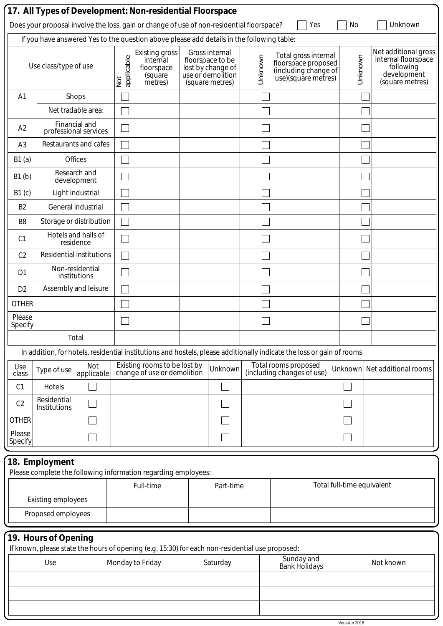|                   |                                                                                                                   |                                        |                   | 17. All Types of Development: Non-residential Floorspace                                        |  |                                                                                                 |  |                                                                                                                       |                            |                                                                                            |
|-------------------|-------------------------------------------------------------------------------------------------------------------|----------------------------------------|-------------------|-------------------------------------------------------------------------------------------------|--|-------------------------------------------------------------------------------------------------|--|-----------------------------------------------------------------------------------------------------------------------|----------------------------|--------------------------------------------------------------------------------------------|
|                   | Does your proposal involve the loss, gain or change of use of non-residential floorspace?<br>Yes<br>No<br>Unknown |                                        |                   |                                                                                                 |  |                                                                                                 |  |                                                                                                                       |                            |                                                                                            |
|                   |                                                                                                                   |                                        |                   | If you have answered Yes to the question above please add details in the following table:       |  |                                                                                                 |  |                                                                                                                       |                            |                                                                                            |
|                   | Use class/type of use                                                                                             |                                        | applicable<br>Not | <b>Existing gross</b><br>internal<br>floorspace<br>(square<br>metres)                           |  | Gross internal<br>floorspace to be<br>lost by change of<br>use or demolition<br>(square metres) |  | Total gross internal<br>floorspace proposed<br>(including change of<br>use)(square metres)                            | Unknown                    | Net additional gross<br>internal floorspace<br>following<br>development<br>(square metres) |
| A <sub>1</sub>    |                                                                                                                   | Shops                                  |                   |                                                                                                 |  |                                                                                                 |  |                                                                                                                       |                            |                                                                                            |
|                   |                                                                                                                   | Net tradable area:                     |                   |                                                                                                 |  |                                                                                                 |  |                                                                                                                       |                            |                                                                                            |
| A2                |                                                                                                                   | Financial and<br>professional services |                   |                                                                                                 |  |                                                                                                 |  |                                                                                                                       |                            |                                                                                            |
| A <sub>3</sub>    |                                                                                                                   | Restaurants and cafes                  |                   |                                                                                                 |  |                                                                                                 |  |                                                                                                                       |                            |                                                                                            |
| B1(a)             |                                                                                                                   | <b>Offices</b>                         |                   |                                                                                                 |  |                                                                                                 |  |                                                                                                                       |                            |                                                                                            |
| B1(b)             |                                                                                                                   | Research and<br>development            |                   |                                                                                                 |  |                                                                                                 |  |                                                                                                                       |                            |                                                                                            |
| B1(c)             |                                                                                                                   | Light industrial                       |                   |                                                                                                 |  |                                                                                                 |  |                                                                                                                       |                            |                                                                                            |
| B <sub>2</sub>    |                                                                                                                   | General industrial                     |                   |                                                                                                 |  |                                                                                                 |  |                                                                                                                       |                            |                                                                                            |
| B <sub>8</sub>    | Storage or distribution                                                                                           |                                        |                   |                                                                                                 |  |                                                                                                 |  |                                                                                                                       |                            |                                                                                            |
| C <sub>1</sub>    |                                                                                                                   | Hotels and halls of<br>residence       |                   |                                                                                                 |  |                                                                                                 |  |                                                                                                                       |                            |                                                                                            |
| C <sub>2</sub>    | <b>Residential institutions</b>                                                                                   |                                        |                   |                                                                                                 |  |                                                                                                 |  |                                                                                                                       |                            |                                                                                            |
| D <sub>1</sub>    |                                                                                                                   | Non-residential<br>institutions        |                   |                                                                                                 |  |                                                                                                 |  |                                                                                                                       |                            |                                                                                            |
| D <sub>2</sub>    |                                                                                                                   | Assembly and leisure                   |                   |                                                                                                 |  |                                                                                                 |  |                                                                                                                       |                            |                                                                                            |
| <b>OTHER</b>      |                                                                                                                   |                                        |                   |                                                                                                 |  |                                                                                                 |  |                                                                                                                       |                            |                                                                                            |
| Please<br>Specify |                                                                                                                   |                                        |                   |                                                                                                 |  |                                                                                                 |  |                                                                                                                       |                            |                                                                                            |
|                   |                                                                                                                   | Total                                  |                   |                                                                                                 |  |                                                                                                 |  |                                                                                                                       |                            |                                                                                            |
|                   |                                                                                                                   |                                        |                   |                                                                                                 |  |                                                                                                 |  | In addition, for hotels, residential institutions and hostels, please additionally indicate the loss or gain of rooms |                            |                                                                                            |
| Use<br>class      | Type of use                                                                                                       | Not<br>applicable                      |                   | Existing rooms to be lost by<br>change of use or demolition                                     |  | Unknown                                                                                         |  | Total rooms proposed<br>(including changes of use)                                                                    |                            | Unknown Net additional rooms                                                               |
| C <sub>1</sub>    | Hotels                                                                                                            |                                        |                   |                                                                                                 |  |                                                                                                 |  |                                                                                                                       |                            |                                                                                            |
| C <sub>2</sub>    | Residential<br>Institutions                                                                                       |                                        |                   |                                                                                                 |  |                                                                                                 |  |                                                                                                                       |                            |                                                                                            |
| <b>OTHER</b>      |                                                                                                                   |                                        |                   |                                                                                                 |  |                                                                                                 |  |                                                                                                                       |                            |                                                                                            |
| Please<br>Specify |                                                                                                                   |                                        |                   |                                                                                                 |  |                                                                                                 |  |                                                                                                                       |                            |                                                                                            |
|                   | 18. Employment                                                                                                    |                                        |                   | Please complete the following information regarding employees:                                  |  |                                                                                                 |  |                                                                                                                       |                            |                                                                                            |
|                   |                                                                                                                   |                                        |                   | Full-time                                                                                       |  | Part-time                                                                                       |  |                                                                                                                       | Total full-time equivalent |                                                                                            |
|                   | <b>Existing employees</b>                                                                                         |                                        |                   |                                                                                                 |  |                                                                                                 |  |                                                                                                                       |                            |                                                                                            |
|                   | Proposed employees                                                                                                |                                        |                   |                                                                                                 |  |                                                                                                 |  |                                                                                                                       |                            |                                                                                            |
|                   | 19. Hours of Opening                                                                                              |                                        |                   |                                                                                                 |  |                                                                                                 |  |                                                                                                                       |                            |                                                                                            |
|                   |                                                                                                                   |                                        |                   | If known, please state the hours of opening (e.g. 15:30) for each non-residential use proposed: |  |                                                                                                 |  | Sunday and                                                                                                            |                            |                                                                                            |
|                   | Use                                                                                                               |                                        |                   | Monday to Friday                                                                                |  | Saturday                                                                                        |  | <b>Bank Holidays</b>                                                                                                  |                            | Not known                                                                                  |
|                   |                                                                                                                   |                                        |                   |                                                                                                 |  |                                                                                                 |  |                                                                                                                       |                            |                                                                                            |
|                   |                                                                                                                   |                                        |                   |                                                                                                 |  |                                                                                                 |  |                                                                                                                       |                            |                                                                                            |

Verssion 2018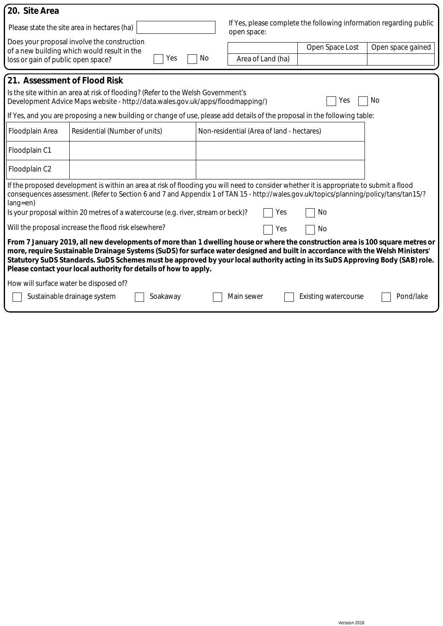| 20. Site Area                                                                                                                                                                                                                                                                                                                                                                                                                                                         |                                                                                                   |    |                                                                                   |                             |                   |  |
|-----------------------------------------------------------------------------------------------------------------------------------------------------------------------------------------------------------------------------------------------------------------------------------------------------------------------------------------------------------------------------------------------------------------------------------------------------------------------|---------------------------------------------------------------------------------------------------|----|-----------------------------------------------------------------------------------|-----------------------------|-------------------|--|
|                                                                                                                                                                                                                                                                                                                                                                                                                                                                       | Please state the site area in hectares (ha)                                                       |    | If Yes, please complete the following information regarding public<br>open space: |                             |                   |  |
| loss or gain of public open space?                                                                                                                                                                                                                                                                                                                                                                                                                                    | Does your proposal involve the construction<br>of a new building which would result in the<br>Yes | No | Area of Land (ha)                                                                 | Open Space Lost             | Open space gained |  |
| 21. Assessment of Flood Risk<br>Is the site within an area at risk of flooding? (Refer to the Welsh Government's<br>Development Advice Maps website - http://data.wales.gov.uk/apps/floodmapping/)<br>No.<br>Yes<br>If Yes, and you are proposing a new building or change of use, please add details of the proposal in the following table:                                                                                                                         |                                                                                                   |    |                                                                                   |                             |                   |  |
| Floodplain Area                                                                                                                                                                                                                                                                                                                                                                                                                                                       | Residential (Number of units)                                                                     |    | Non-residential (Area of land - hectares)                                         |                             |                   |  |
| Floodplain C1                                                                                                                                                                                                                                                                                                                                                                                                                                                         |                                                                                                   |    |                                                                                   |                             |                   |  |
| Floodplain C2                                                                                                                                                                                                                                                                                                                                                                                                                                                         |                                                                                                   |    |                                                                                   |                             |                   |  |
| If the proposed development is within an area at risk of flooding you will need to consider whether it is appropriate to submit a flood<br>consequences assessment. (Refer to Section 6 and 7 and Appendix 1 of TAN 15 - http://wales.gov.uk/topics/planning/policy/tans/tan15/?<br>$lang = en)$<br>Is your proposal within 20 metres of a watercourse (e.g. river, stream or beck)?<br>No<br>Yes                                                                     |                                                                                                   |    |                                                                                   |                             |                   |  |
|                                                                                                                                                                                                                                                                                                                                                                                                                                                                       | Will the proposal increase the flood risk elsewhere?                                              |    | Yes                                                                               | No                          |                   |  |
| From 7 January 2019, all new developments of more than 1 dwelling house or where the construction area is 100 square metres or<br>more, require Sustainable Drainage Systems (SuDS) for surface water designed and built in accordance with the Welsh Ministers'<br>Statutory SuDS Standards. SuDS Schemes must be approved by your local authority acting in its SuDS Approving Body (SAB) role.<br>Please contact your local authority for details of how to apply. |                                                                                                   |    |                                                                                   |                             |                   |  |
| How will surface water be disposed of?                                                                                                                                                                                                                                                                                                                                                                                                                                |                                                                                                   |    |                                                                                   |                             |                   |  |
|                                                                                                                                                                                                                                                                                                                                                                                                                                                                       | Sustainable drainage system<br>Soakaway                                                           |    | Main sewer                                                                        | <b>Existing watercourse</b> | Pond/lake         |  |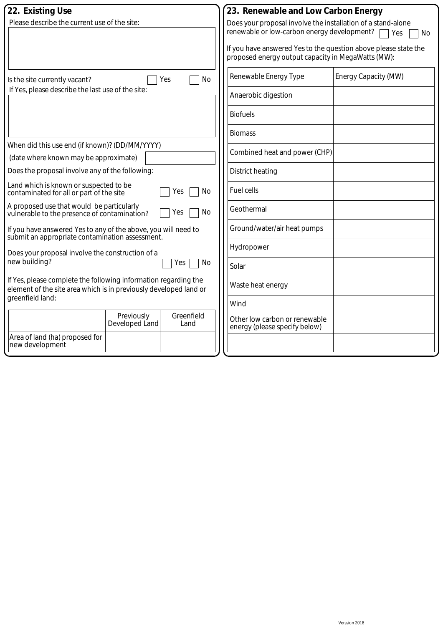| 22. Existing Use                                                                          |    | 23. Renewable and Low Carbon Energy                             |                      |
|-------------------------------------------------------------------------------------------|----|-----------------------------------------------------------------|----------------------|
| Please describe the current use of the site:                                              |    | Does your proposal involve the installation of a stand-alone    |                      |
|                                                                                           |    | renewable or low-carbon energy development?                     | Yes<br>No            |
|                                                                                           |    | If you have answered Yes to the question above please state the |                      |
|                                                                                           |    | proposed energy output capacity in MegaWatts (MW):              |                      |
|                                                                                           |    |                                                                 |                      |
| Yes<br>Is the site currently vacant?                                                      | No | Renewable Energy Type                                           | Energy Capacity (MW) |
| If Yes, please describe the last use of the site:                                         |    |                                                                 |                      |
|                                                                                           |    | Anaerobic digestion                                             |                      |
|                                                                                           |    |                                                                 |                      |
|                                                                                           |    | <b>Biofuels</b>                                                 |                      |
|                                                                                           |    |                                                                 |                      |
|                                                                                           |    | <b>Biomass</b>                                                  |                      |
| When did this use end (if known)? (DD/MM/YYYY)                                            |    | Combined heat and power (CHP)                                   |                      |
| (date where known may be approximate)                                                     |    |                                                                 |                      |
| Does the proposal involve any of the following:                                           |    | District heating                                                |                      |
|                                                                                           |    |                                                                 |                      |
| Land which is known or suspected to be<br>Yes<br>contaminated for all or part of the site | No | <b>Fuel cells</b>                                               |                      |
|                                                                                           |    |                                                                 |                      |
| A proposed use that would be particularly<br>Yes                                          | No | Geothermal                                                      |                      |
| vulnerable to the presence of contamination?                                              |    |                                                                 |                      |
| If you have answered Yes to any of the above, you will need to                            |    | Ground/water/air heat pumps                                     |                      |
| submit an appropriate contamination assessment.                                           |    |                                                                 |                      |
| Does your proposal involve the construction of a                                          |    | Hydropower                                                      |                      |
| new building?<br>Yes                                                                      | No |                                                                 |                      |
|                                                                                           |    | Solar                                                           |                      |
| If Yes, please complete the following information regarding the                           |    |                                                                 |                      |
| element of the site area which is in previously developed land or                         |    | Waste heat energy                                               |                      |
| greenfield land:                                                                          |    |                                                                 |                      |
|                                                                                           |    | Wind                                                            |                      |
| Previously<br>Greenfield                                                                  |    | Other low carbon or renewable                                   |                      |
| Developed Land<br>Land                                                                    |    | energy (please specify below)                                   |                      |
| Area of land (ha) proposed for                                                            |    |                                                                 |                      |
| new development                                                                           |    |                                                                 |                      |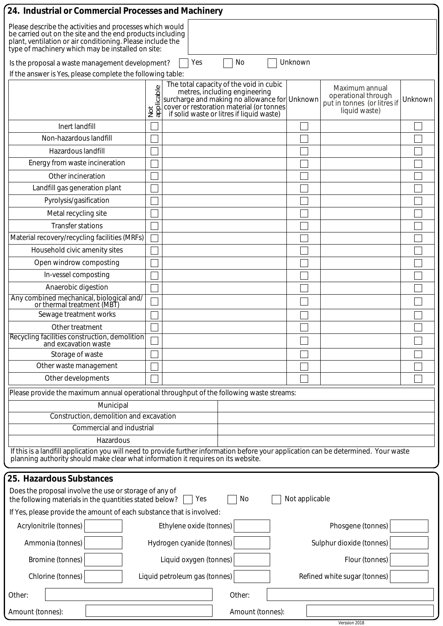| 24. Industrial or Commercial Processes and Machinery                                                                                                                                                                                     |                                           |                                                                                                                                                                                   |                               |  |                |                                                                                       |         |  |  |
|------------------------------------------------------------------------------------------------------------------------------------------------------------------------------------------------------------------------------------------|-------------------------------------------|-----------------------------------------------------------------------------------------------------------------------------------------------------------------------------------|-------------------------------|--|----------------|---------------------------------------------------------------------------------------|---------|--|--|
| Please describe the activities and processes which would<br>be carried out on the site and the end products including<br>plant, ventilation or air conditioning. Please include the<br>type of machinery which may be installed on site: |                                           |                                                                                                                                                                                   |                               |  |                |                                                                                       |         |  |  |
| No<br>Unknown<br>Yes<br>Is the proposal a waste management development?                                                                                                                                                                  |                                           |                                                                                                                                                                                   |                               |  |                |                                                                                       |         |  |  |
| If the answer is Yes, please complete the following table:                                                                                                                                                                               |                                           |                                                                                                                                                                                   |                               |  |                |                                                                                       |         |  |  |
|                                                                                                                                                                                                                                          | $\mathbb O$<br>Not<br>ap <u>plicabl</u> e | The total capacity of the void in cubic<br>surcharge and making no allowance for Unknown<br>cover or restoration material (or tonnes<br>if solid waste or litres if liquid waste) | metres, including engineering |  |                | Maximum annual<br>operational through<br>put in tonnes (or litres if<br>liquid waste) | Unknown |  |  |
| Inert landfill                                                                                                                                                                                                                           |                                           |                                                                                                                                                                                   |                               |  |                |                                                                                       |         |  |  |
| Non-hazardous landfill                                                                                                                                                                                                                   |                                           |                                                                                                                                                                                   |                               |  |                |                                                                                       |         |  |  |
| Hazardous landfill                                                                                                                                                                                                                       |                                           |                                                                                                                                                                                   |                               |  |                |                                                                                       |         |  |  |
| Energy from waste incineration                                                                                                                                                                                                           |                                           |                                                                                                                                                                                   |                               |  |                |                                                                                       |         |  |  |
| Other incineration                                                                                                                                                                                                                       |                                           |                                                                                                                                                                                   |                               |  |                |                                                                                       |         |  |  |
| Landfill gas generation plant                                                                                                                                                                                                            |                                           |                                                                                                                                                                                   |                               |  |                |                                                                                       |         |  |  |
| Pyrolysis/gasification                                                                                                                                                                                                                   |                                           |                                                                                                                                                                                   |                               |  |                |                                                                                       |         |  |  |
| Metal recycling site                                                                                                                                                                                                                     |                                           |                                                                                                                                                                                   |                               |  |                |                                                                                       |         |  |  |
| <b>Transfer stations</b>                                                                                                                                                                                                                 |                                           |                                                                                                                                                                                   |                               |  |                |                                                                                       |         |  |  |
| Material recovery/recycling facilities (MRFs)                                                                                                                                                                                            |                                           |                                                                                                                                                                                   |                               |  |                |                                                                                       |         |  |  |
| Household civic amenity sites                                                                                                                                                                                                            |                                           |                                                                                                                                                                                   |                               |  |                |                                                                                       |         |  |  |
| Open windrow composting                                                                                                                                                                                                                  |                                           |                                                                                                                                                                                   |                               |  |                |                                                                                       |         |  |  |
| In-vessel composting                                                                                                                                                                                                                     |                                           |                                                                                                                                                                                   |                               |  |                |                                                                                       |         |  |  |
| Anaerobic digestion                                                                                                                                                                                                                      |                                           |                                                                                                                                                                                   |                               |  |                |                                                                                       |         |  |  |
| Any combined mechanical, biological and/<br>or thermal treatment (MBT)                                                                                                                                                                   |                                           |                                                                                                                                                                                   |                               |  |                |                                                                                       |         |  |  |
| Sewage treatment works                                                                                                                                                                                                                   |                                           |                                                                                                                                                                                   |                               |  |                |                                                                                       |         |  |  |
| Other treatment<br>Recycling facilities construction, demolition                                                                                                                                                                         |                                           |                                                                                                                                                                                   |                               |  |                |                                                                                       |         |  |  |
| and excavation waste                                                                                                                                                                                                                     |                                           |                                                                                                                                                                                   |                               |  |                |                                                                                       |         |  |  |
| Storage of waste                                                                                                                                                                                                                         |                                           |                                                                                                                                                                                   |                               |  |                |                                                                                       |         |  |  |
| Other waste management                                                                                                                                                                                                                   |                                           |                                                                                                                                                                                   |                               |  |                |                                                                                       |         |  |  |
| Other developments                                                                                                                                                                                                                       |                                           |                                                                                                                                                                                   |                               |  |                |                                                                                       |         |  |  |
| Please provide the maximum annual operational throughput of the following waste streams:                                                                                                                                                 |                                           |                                                                                                                                                                                   |                               |  |                |                                                                                       |         |  |  |
| Municipal                                                                                                                                                                                                                                |                                           |                                                                                                                                                                                   |                               |  |                |                                                                                       |         |  |  |
| Construction, demolition and excavation                                                                                                                                                                                                  |                                           |                                                                                                                                                                                   |                               |  |                |                                                                                       |         |  |  |
| <b>Commercial and industrial</b>                                                                                                                                                                                                         |                                           |                                                                                                                                                                                   |                               |  |                |                                                                                       |         |  |  |
| Hazardous                                                                                                                                                                                                                                |                                           |                                                                                                                                                                                   |                               |  |                |                                                                                       |         |  |  |
| If this is a landfill application you will need to provide further information before your application can be determined. Your waste planning authority should make clear what information it requires on its website.                   |                                           |                                                                                                                                                                                   |                               |  |                |                                                                                       |         |  |  |
| 25. Hazardous Substances                                                                                                                                                                                                                 |                                           |                                                                                                                                                                                   |                               |  |                |                                                                                       |         |  |  |
| Does the proposal involve the use or storage of any of<br>the following materials in the quantities stated below?                                                                                                                        |                                           | Yes                                                                                                                                                                               | No                            |  | Not applicable |                                                                                       |         |  |  |
| If Yes, please provide the amount of each substance that is involved:                                                                                                                                                                    |                                           |                                                                                                                                                                                   |                               |  |                |                                                                                       |         |  |  |
| Acrylonitrile (tonnes)                                                                                                                                                                                                                   |                                           | Ethylene oxide (tonnes)                                                                                                                                                           |                               |  |                | Phosgene (tonnes)                                                                     |         |  |  |
| Ammonia (tonnes)<br>Hydrogen cyanide (tonnes)                                                                                                                                                                                            |                                           |                                                                                                                                                                                   |                               |  |                | Sulphur dioxide (tonnes)                                                              |         |  |  |
| Bromine (tonnes)<br>Liquid oxygen (tonnes)                                                                                                                                                                                               |                                           |                                                                                                                                                                                   |                               |  |                | Flour (tonnes)                                                                        |         |  |  |
| Chlorine (tonnes)                                                                                                                                                                                                                        |                                           | Liquid petroleum gas (tonnes)                                                                                                                                                     |                               |  |                | Refined white sugar (tonnes)                                                          |         |  |  |
| Other:                                                                                                                                                                                                                                   |                                           |                                                                                                                                                                                   | Other:                        |  |                |                                                                                       |         |  |  |
| Amount (tonnes):                                                                                                                                                                                                                         |                                           |                                                                                                                                                                                   | Amount (tonnes):              |  |                |                                                                                       |         |  |  |
|                                                                                                                                                                                                                                          |                                           |                                                                                                                                                                                   |                               |  |                | Verssion 2018                                                                         |         |  |  |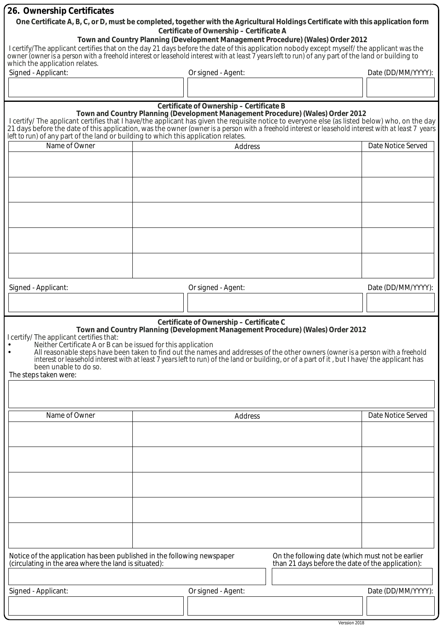| 26. Ownership Certificates                                                                                                                                                                                                       |  |                               |                                          |                                                                                 |  |                    |  |  |
|----------------------------------------------------------------------------------------------------------------------------------------------------------------------------------------------------------------------------------|--|-------------------------------|------------------------------------------|---------------------------------------------------------------------------------|--|--------------------|--|--|
| One Certificate A, B, C, or D, must be completed, together with the Agricultural Holdings Certificate with this application form                                                                                                 |  |                               |                                          |                                                                                 |  |                    |  |  |
|                                                                                                                                                                                                                                  |  |                               | Certificate of Ownership - Certificate A |                                                                                 |  |                    |  |  |
| Town and Country Planning (Development Management Procedure) (Wales) Order 2012<br>I certify/The applicant certifies that on the day 21 days before the date of this application nobody except myself/ the applicant was the     |  |                               |                                          |                                                                                 |  |                    |  |  |
| owner <i>(owner is a person with a freehold interest or leasehold interest with at least 7 years left to run)</i> of any part of the land or building to<br>which the application relates.                                       |  |                               |                                          |                                                                                 |  |                    |  |  |
| Signed - Applicant:                                                                                                                                                                                                              |  |                               | Or signed - Agent:                       |                                                                                 |  | Date (DD/MM/YYYY): |  |  |
|                                                                                                                                                                                                                                  |  |                               |                                          |                                                                                 |  |                    |  |  |
|                                                                                                                                                                                                                                  |  |                               |                                          |                                                                                 |  |                    |  |  |
|                                                                                                                                                                                                                                  |  |                               | Certificate of Ownership - Certificate B |                                                                                 |  |                    |  |  |
| I certify/ The applicant certifies that I have/the applicant has given the requisite notice to everyone else (as listed below) who, on the day                                                                                   |  |                               |                                          | Town and Country Planning (Development Management Procedure) (Wales) Order 2012 |  |                    |  |  |
| 21 days before the date of this application, was the owner (owner is a person with a freehold interest or leasehold interest with at least 7 years<br>left to run) of any part of the land or building to which this application |  |                               |                                          |                                                                                 |  |                    |  |  |
|                                                                                                                                                                                                                                  |  |                               |                                          |                                                                                 |  |                    |  |  |
| Name of Owner                                                                                                                                                                                                                    |  | Date Notice Served<br>Address |                                          |                                                                                 |  |                    |  |  |
|                                                                                                                                                                                                                                  |  |                               |                                          |                                                                                 |  |                    |  |  |
|                                                                                                                                                                                                                                  |  |                               |                                          |                                                                                 |  |                    |  |  |
|                                                                                                                                                                                                                                  |  |                               |                                          |                                                                                 |  |                    |  |  |
|                                                                                                                                                                                                                                  |  |                               |                                          |                                                                                 |  |                    |  |  |
|                                                                                                                                                                                                                                  |  |                               |                                          |                                                                                 |  |                    |  |  |
|                                                                                                                                                                                                                                  |  |                               |                                          |                                                                                 |  |                    |  |  |
|                                                                                                                                                                                                                                  |  |                               |                                          |                                                                                 |  |                    |  |  |
|                                                                                                                                                                                                                                  |  |                               |                                          |                                                                                 |  |                    |  |  |
|                                                                                                                                                                                                                                  |  |                               |                                          |                                                                                 |  |                    |  |  |
|                                                                                                                                                                                                                                  |  |                               |                                          |                                                                                 |  |                    |  |  |
|                                                                                                                                                                                                                                  |  |                               |                                          |                                                                                 |  |                    |  |  |
| Signed - Applicant:                                                                                                                                                                                                              |  |                               | Or signed - Agent:                       |                                                                                 |  | Date (DD/MM/YYYY): |  |  |
|                                                                                                                                                                                                                                  |  |                               |                                          |                                                                                 |  |                    |  |  |
|                                                                                                                                                                                                                                  |  |                               |                                          |                                                                                 |  |                    |  |  |
|                                                                                                                                                                                                                                  |  |                               | Certificate of Ownership - Certificate C |                                                                                 |  |                    |  |  |
|                                                                                                                                                                                                                                  |  |                               |                                          | Town and Country Planning (Development Management Procedure) (Wales) Order 2012 |  |                    |  |  |
| I certify/ The applicant certifies that:<br>Neither Certificate A or B can be issued for this application                                                                                                                        |  |                               |                                          |                                                                                 |  |                    |  |  |
| All reasonable steps have been taken to find out the names and addresses of the other owners (owner is a person with a freehold                                                                                                  |  |                               |                                          |                                                                                 |  |                    |  |  |
| interest or leasehold interest with at least 7 years left to run) of the land or building, or of a part of it, but I have/ the applicant has<br>been unable to do so.                                                            |  |                               |                                          |                                                                                 |  |                    |  |  |
| The steps taken were:                                                                                                                                                                                                            |  |                               |                                          |                                                                                 |  |                    |  |  |
|                                                                                                                                                                                                                                  |  |                               |                                          |                                                                                 |  |                    |  |  |
|                                                                                                                                                                                                                                  |  |                               |                                          |                                                                                 |  |                    |  |  |
| Name of Owner                                                                                                                                                                                                                    |  |                               |                                          |                                                                                 |  | Date Notice Served |  |  |
|                                                                                                                                                                                                                                  |  |                               | Address                                  |                                                                                 |  |                    |  |  |
|                                                                                                                                                                                                                                  |  |                               |                                          |                                                                                 |  |                    |  |  |
|                                                                                                                                                                                                                                  |  |                               |                                          |                                                                                 |  |                    |  |  |
|                                                                                                                                                                                                                                  |  |                               |                                          |                                                                                 |  |                    |  |  |
|                                                                                                                                                                                                                                  |  |                               |                                          |                                                                                 |  |                    |  |  |
|                                                                                                                                                                                                                                  |  |                               |                                          |                                                                                 |  |                    |  |  |
|                                                                                                                                                                                                                                  |  |                               |                                          |                                                                                 |  |                    |  |  |
|                                                                                                                                                                                                                                  |  |                               |                                          |                                                                                 |  |                    |  |  |
|                                                                                                                                                                                                                                  |  |                               |                                          |                                                                                 |  |                    |  |  |
|                                                                                                                                                                                                                                  |  |                               |                                          |                                                                                 |  |                    |  |  |
|                                                                                                                                                                                                                                  |  |                               |                                          |                                                                                 |  |                    |  |  |
|                                                                                                                                                                                                                                  |  |                               |                                          |                                                                                 |  |                    |  |  |
| Notice of the application has been published in the following newspaper                                                                                                                                                          |  |                               |                                          | On the following date (which must not be earlier                                |  |                    |  |  |
| (circulating in the area where the land is situated):<br>than 21 days before the date of the application):                                                                                                                       |  |                               |                                          |                                                                                 |  |                    |  |  |
|                                                                                                                                                                                                                                  |  |                               |                                          |                                                                                 |  |                    |  |  |
| Signed - Applicant:<br>Or signed - Agent:                                                                                                                                                                                        |  |                               |                                          |                                                                                 |  | Date (DD/MM/YYYY): |  |  |
|                                                                                                                                                                                                                                  |  |                               |                                          |                                                                                 |  |                    |  |  |
|                                                                                                                                                                                                                                  |  |                               |                                          |                                                                                 |  |                    |  |  |

Verssion 2018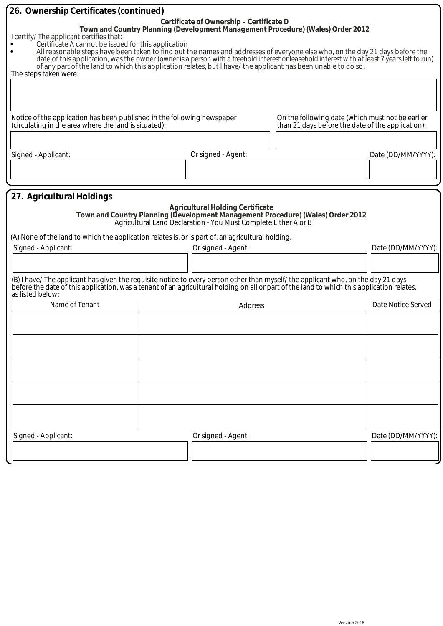| 26. Ownership Certificates (continued)                                                                                                                                                                                                                                                                                                                                                                                                                                                                                                                                                                                                                                 |  |                                         |                                                                                                                                                    |                    |  |
|------------------------------------------------------------------------------------------------------------------------------------------------------------------------------------------------------------------------------------------------------------------------------------------------------------------------------------------------------------------------------------------------------------------------------------------------------------------------------------------------------------------------------------------------------------------------------------------------------------------------------------------------------------------------|--|-----------------------------------------|----------------------------------------------------------------------------------------------------------------------------------------------------|--------------------|--|
| Certificate of Ownership - Certificate D<br>Town and Country Planning (Development Management Procedure) (Wales) Order 2012<br>I certify/ The applicant certifies that:<br>Certificate A cannot be issued for this application<br>All reasonable steps have been taken to find out the names and addresses of everyone else who, on the day 21 days before the<br>$\bullet$<br>date of this application, was the owner (owner is a person with a freehold interest or leasehold interest with at least 7 years left to run)<br>of any part of the land to which this application relates, but I have/ the applicant has been unable to do so.<br>The steps taken were: |  |                                         |                                                                                                                                                    |                    |  |
| Notice of the application has been published in the following newspaper<br>(circulating in the area where the land is situated):                                                                                                                                                                                                                                                                                                                                                                                                                                                                                                                                       |  |                                         | On the following date (which must not be earlier<br>than 21 days before the date of the application):                                              |                    |  |
|                                                                                                                                                                                                                                                                                                                                                                                                                                                                                                                                                                                                                                                                        |  |                                         |                                                                                                                                                    |                    |  |
|                                                                                                                                                                                                                                                                                                                                                                                                                                                                                                                                                                                                                                                                        |  |                                         |                                                                                                                                                    |                    |  |
| Signed - Applicant:                                                                                                                                                                                                                                                                                                                                                                                                                                                                                                                                                                                                                                                    |  | Or signed - Agent:                      |                                                                                                                                                    | Date (DD/MM/YYYY): |  |
|                                                                                                                                                                                                                                                                                                                                                                                                                                                                                                                                                                                                                                                                        |  |                                         |                                                                                                                                                    |                    |  |
|                                                                                                                                                                                                                                                                                                                                                                                                                                                                                                                                                                                                                                                                        |  |                                         |                                                                                                                                                    |                    |  |
| 27. Agricultural Holdings                                                                                                                                                                                                                                                                                                                                                                                                                                                                                                                                                                                                                                              |  | <b>Agricultural Holding Certificate</b> | Town and Country Planning (Development Management Procedure) (Wales) Order 2012<br>Agricultural Land Declaration - You Must Complete Either A or B |                    |  |
|                                                                                                                                                                                                                                                                                                                                                                                                                                                                                                                                                                                                                                                                        |  |                                         |                                                                                                                                                    |                    |  |
| (A) None of the land to which the application relates is, or is part of, an agricultural holding.                                                                                                                                                                                                                                                                                                                                                                                                                                                                                                                                                                      |  |                                         |                                                                                                                                                    |                    |  |
| Signed - Applicant:                                                                                                                                                                                                                                                                                                                                                                                                                                                                                                                                                                                                                                                    |  | Or signed - Agent:                      |                                                                                                                                                    | Date (DD/MM/YYYY): |  |
|                                                                                                                                                                                                                                                                                                                                                                                                                                                                                                                                                                                                                                                                        |  |                                         |                                                                                                                                                    |                    |  |
| (B) I have/The applicant has given the requisite notice to every person other than myself/the applicant who, on the day 21 days<br>before the date of this application, was a tenant of an agricultural holding on all or part of the land to which this application relates,<br>as listed below:                                                                                                                                                                                                                                                                                                                                                                      |  |                                         |                                                                                                                                                    |                    |  |
| Name of Tenant                                                                                                                                                                                                                                                                                                                                                                                                                                                                                                                                                                                                                                                         |  | Address                                 |                                                                                                                                                    | Date Notice Served |  |
|                                                                                                                                                                                                                                                                                                                                                                                                                                                                                                                                                                                                                                                                        |  |                                         |                                                                                                                                                    |                    |  |
|                                                                                                                                                                                                                                                                                                                                                                                                                                                                                                                                                                                                                                                                        |  |                                         |                                                                                                                                                    |                    |  |
|                                                                                                                                                                                                                                                                                                                                                                                                                                                                                                                                                                                                                                                                        |  |                                         |                                                                                                                                                    |                    |  |
|                                                                                                                                                                                                                                                                                                                                                                                                                                                                                                                                                                                                                                                                        |  |                                         |                                                                                                                                                    |                    |  |
|                                                                                                                                                                                                                                                                                                                                                                                                                                                                                                                                                                                                                                                                        |  |                                         |                                                                                                                                                    |                    |  |
| Signed - Applicant:                                                                                                                                                                                                                                                                                                                                                                                                                                                                                                                                                                                                                                                    |  | Or signed - Agent:                      |                                                                                                                                                    | Date (DD/MM/YYYY): |  |
|                                                                                                                                                                                                                                                                                                                                                                                                                                                                                                                                                                                                                                                                        |  |                                         |                                                                                                                                                    |                    |  |